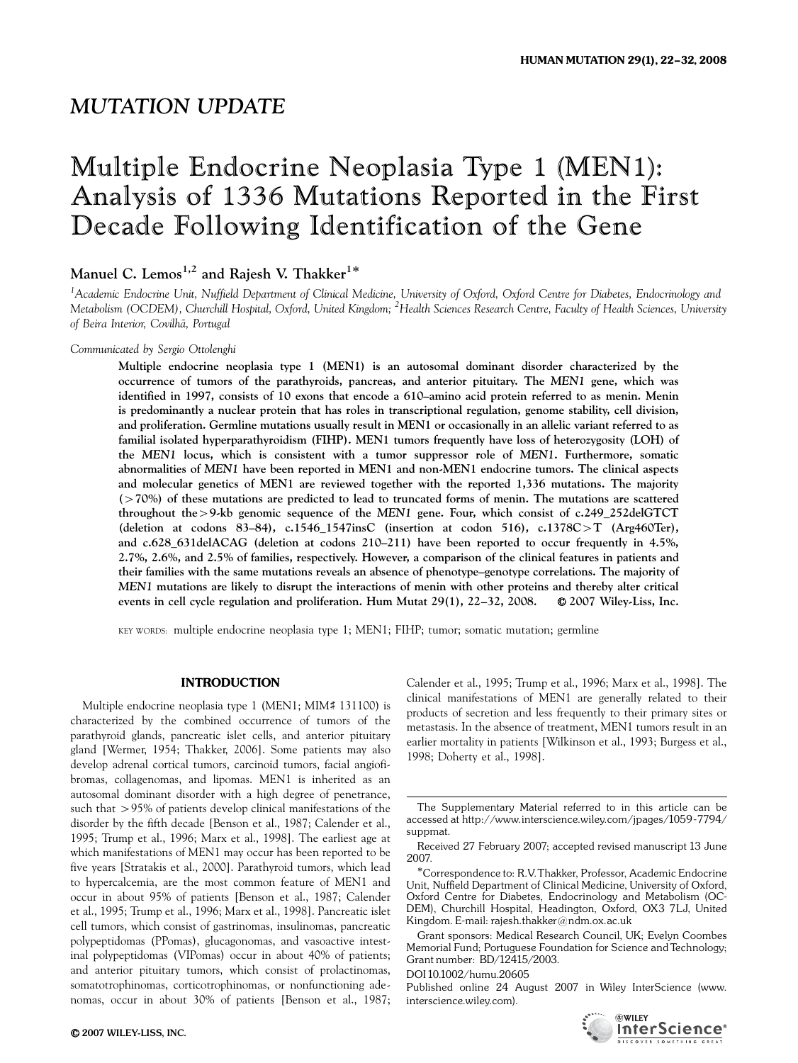# MUTATION UPDATE

# Multiple Endocrine Neoplasia Type 1 (MEN1): Analysis of 1336 Mutations Reported in the First Decade Following Identification of the Gene

# Manuel C. Lemos<sup>1,2</sup> and Rajesh V. Thakker<sup>1\*</sup>

<sup>1</sup>Academic Endocrine Unit, Nuffield Department of Clinical Medicine, University of Oxford, Oxford Centre for Diabetes, Endocrinology and Metabolism (OCDEM), Churchill Hospital, Oxford, United Kingdom; <sup>2</sup>Health Sciences Research Centre, Faculty of Health Sciences, University of Beira Interior, Covilhã, Portugal

# Communicated by Sergio Ottolenghi

Multiple endocrine neoplasia type 1 (MEN1) is an autosomal dominant disorder characterized by the occurrence of tumors of the parathyroids, pancreas, and anterior pituitary. The MEN1 gene, which was identified in 1997, consists of 10 exons that encode a 610–amino acid protein referred to as menin. Menin is predominantly a nuclear protein that has roles in transcriptional regulation, genome stability, cell division, and proliferation. Germline mutations usually result in MEN1 or occasionally in an allelic variant referred to as familial isolated hyperparathyroidism (FIHP). MEN1 tumors frequently have loss of heterozygosity (LOH) of the MEN1 locus, which is consistent with a tumor suppressor role of MEN1. Furthermore, somatic abnormalities of MEN1 have been reported in MEN1 and non-MEN1 endocrine tumors. The clinical aspects and molecular genetics of MEN1 are reviewed together with the reported 1,336 mutations. The majority (470%) of these mutations are predicted to lead to truncated forms of menin. The mutations are scattered throughout the >9-kb genomic sequence of the MEN1 gene. Four, which consist of c.249\_252delGTCT (deletion at codons 83–84), c.1546\_1547insC (insertion at codon 516), c.1378C > T (Arg460Ter), and c.628\_631delACAG (deletion at codons 210–211) have been reported to occur frequently in 4.5%, 2.7%, 2.6%, and 2.5% of families, respectively. However, a comparison of the clinical features in patients and their families with the same mutations reveals an absence of phenotype–genotype correlations. The majority of MEN1 mutations are likely to disrupt the interactions of menin with other proteins and thereby alter critical events in cell cycle regulation and proliferation. Hum Mutat  $29(1)$ ,  $22-32$ ,  $2008$ .  $\bullet$  2007 Wiley-Liss, Inc.

KEY WORDS: multiple endocrine neoplasia type 1; MEN1; FIHP; tumor; somatic mutation; germline

# INTRODUCTION

Multiple endocrine neoplasia type 1 (MEN1; MIM# 131100) is characterized by the combined occurrence of tumors of the parathyroid glands, pancreatic islet cells, and anterior pituitary gland [Wermer, 1954; Thakker, 2006]. Some patients may also develop adrenal cortical tumors, carcinoid tumors, facial angiofibromas, collagenomas, and lipomas. MEN1 is inherited as an autosomal dominant disorder with a high degree of penetrance, such that  $>95\%$  of patients develop clinical manifestations of the disorder by the fifth decade [Benson et al., 1987; Calender et al., 1995; Trump et al., 1996; Marx et al., 1998]. The earliest age at which manifestations of MEN1 may occur has been reported to be five years [Stratakis et al., 2000]. Parathyroid tumors, which lead to hypercalcemia, are the most common feature of MEN1 and occur in about 95% of patients [Benson et al., 1987; Calender et al., 1995; Trump et al., 1996; Marx et al., 1998]. Pancreatic islet cell tumors, which consist of gastrinomas, insulinomas, pancreatic polypeptidomas (PPomas), glucagonomas, and vasoactive intestinal polypeptidomas (VIPomas) occur in about 40% of patients; and anterior pituitary tumors, which consist of prolactinomas, somatotrophinomas, corticotrophinomas, or nonfunctioning adenomas, occur in about 30% of patients [Benson et al., 1987;

Calender et al., 1995; Trump et al., 1996; Marx et al., 1998]. The clinical manifestations of MEN1 are generally related to their products of secretion and less frequently to their primary sites or metastasis. In the absence of treatment, MEN1 tumors result in an earlier mortality in patients [Wilkinson et al., 1993; Burgess et al., 1998; Doherty et al., 1998].

DOI 10.1002/humu.20605

Published online 24 August 2007 in Wiley InterScience (www. interscience.wiley.com).



The Supplementary Material referred to in this article can be accessed at http://www.interscience.wiley.com/jpages/1059-7794/ suppmat.

Received 27 February 2007; accepted revised manuscript 13 June 2007.

Correspondence to: R.V.Thakker, Professor, Academic Endocrine Unit, Nuffield Department of Clinical Medicine, University of Oxford, Oxford Centre for Diabetes, Endocrinology and Metabolism (OC-DEM), Churchill Hospital, Headington, Oxford, OX3 7LJ, United Kingdom. E-mail: rajesh.thakker@ndm.ox.ac.uk

Grant sponsors: Medical Research Council, UK; Evelyn Coombes Memorial Fund; Portuguese Foundation for Science and Technology; Grant number: BD/12415/2003.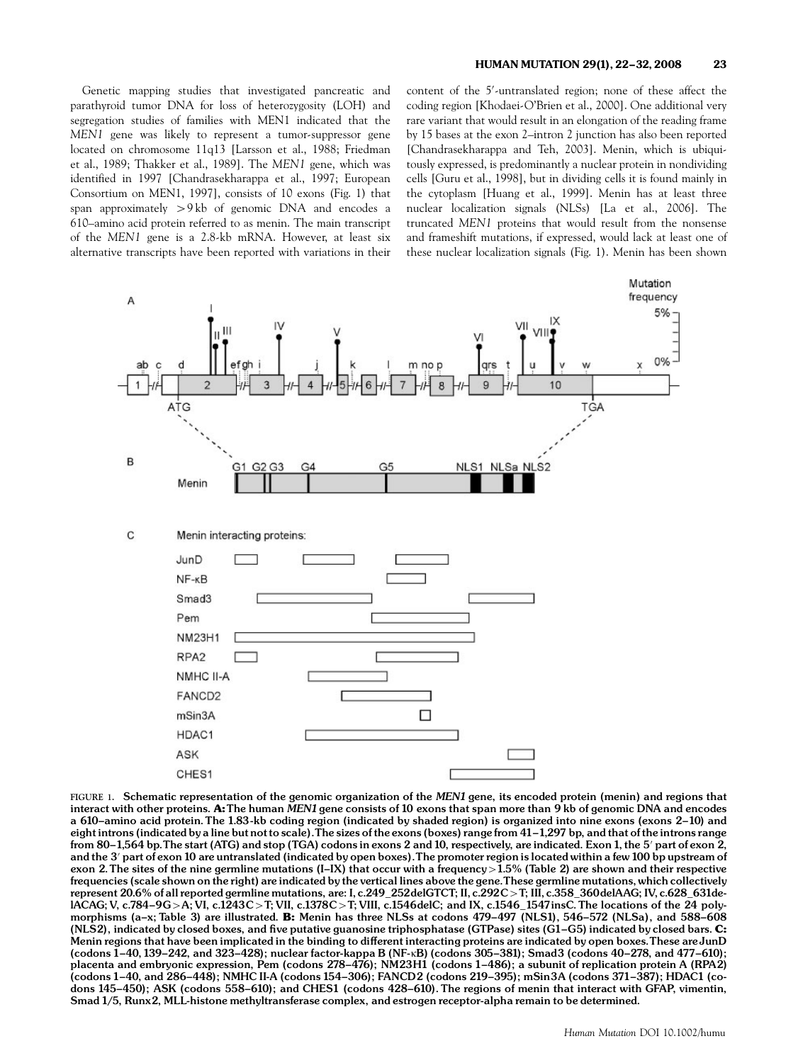Genetic mapping studies that investigated pancreatic and parathyroid tumor DNA for loss of heterozygosity (LOH) and segregation studies of families with MEN1 indicated that the MEN1 gene was likely to represent a tumor-suppressor gene located on chromosome 11q13 [Larsson et al., 1988; Friedman et al., 1989; Thakker et al., 1989]. The MEN1 gene, which was identified in 1997 [Chandrasekharappa et al., 1997; European Consortium on MEN1, 1997], consists of 10 exons (Fig. 1) that span approximately  $> 9 \text{ kb}$  of genomic DNA and encodes a 610–amino acid protein referred to as menin. The main transcript of the MEN1 gene is a 2.8-kb mRNA. However, at least six alternative transcripts have been reported with variations in their

content of the 5'-untranslated region; none of these affect the coding region [Khodaei-O'Brien et al., 2000]. One additional very rare variant that would result in an elongation of the reading frame by 15 bases at the exon 2–intron 2 junction has also been reported [Chandrasekharappa and Teh, 2003]. Menin, which is ubiquitously expressed, is predominantly a nuclear protein in nondividing cells [Guru et al., 1998], but in dividing cells it is found mainly in the cytoplasm [Huang et al., 1999]. Menin has at least three nuclear localization signals (NLSs) [La et al., 2006]. The truncated MEN1 proteins that would result from the nonsense and frameshift mutations, if expressed, would lack at least one of these nuclear localization signals (Fig. 1). Menin has been shown



FIGURE 1. Schematic representation of the genomic organization of the MEN1 gene, its encoded protein (menin) and regions that interact with other proteins. A: The human MEN1 gene consists of 10 exons that span more than 9 kb of genomic DNA and encodes a 610-amino acid protein. The 1.83-kb coding region (indicated by shaded region) is organized into nine exons (exons 2-10) and eight introns (indicated by a line but not to scale). The sizes of the exons (boxes) range from 41-1,297 bp, and that of the introns range from 80-1,564 bp. The start (ATG) and stop (TGA) codons in exons 2 and 10, respectively, are indicated. Exon 1, the 5' part of exon 2, and the 3' part of exon 10 are untranslated (indicated by open boxes). The promoter region is located within a few 100 bp upstream of exon 2. The sites of the nine germline mutations (I-IX) that occur with a frequency  $>1.5$ % (Table 2) are shown and their respective frequencies (scale shown on the right) are indicated by the vertical lines above the gene.These germline mutations, which collectively represent 20.6% of all reported germline mutations, are: I, c.249\_252delGTCT; II, c.292C>T; III, c.358\_360delAAG; IV, c.628\_631delACAG; V, c.784-9G > A; VI, c.1243C > T; VII, c.1378C > T; VIII, c.1546delC; and IX, c.1546\_1547insC. The locations of the 24 polymorphisms (a-x; Table 3) are illustrated. B: Menin has three NLSs at codons  $479-497$  (NLS1), 546-572 (NLSa), and 588-608 (NLS2), indicated by closed boxes, and five putative guanosine triphosphatase (GTPase) sites (G1-G5) indicated by closed bars. C: Menin regions that have been implicated in the binding to different interacting proteins are indicated by open boxes. These are JunD (codons  $1-40$ , 139 $-242$ , and 323 $-428$ ); nuclear factor-kappa B (NF-kB) (codons 305 $-381$ ); Smad3 (codons 40 $-278$ , and 477 $-610$ ); placenta and embryonic expression, Pem (codons 278-476); NM23H1 (codons 1-486); a subunit of replication protein A (RPA2) (codons 1-40, and 286-448); NMHC II-A (codons 154-306); FANCD2 (codons 219-395); mSin3A (codons 371-387); HDAC1 (codons 145-450); ASK (codons 558-610); and CHES1 (codons 428-610). The regions of menin that interact with GFAP, vimentin, Smad 1/5, Runx2, MLL-histone methyltransferase complex, and estrogen receptor-alpha remain to be determined.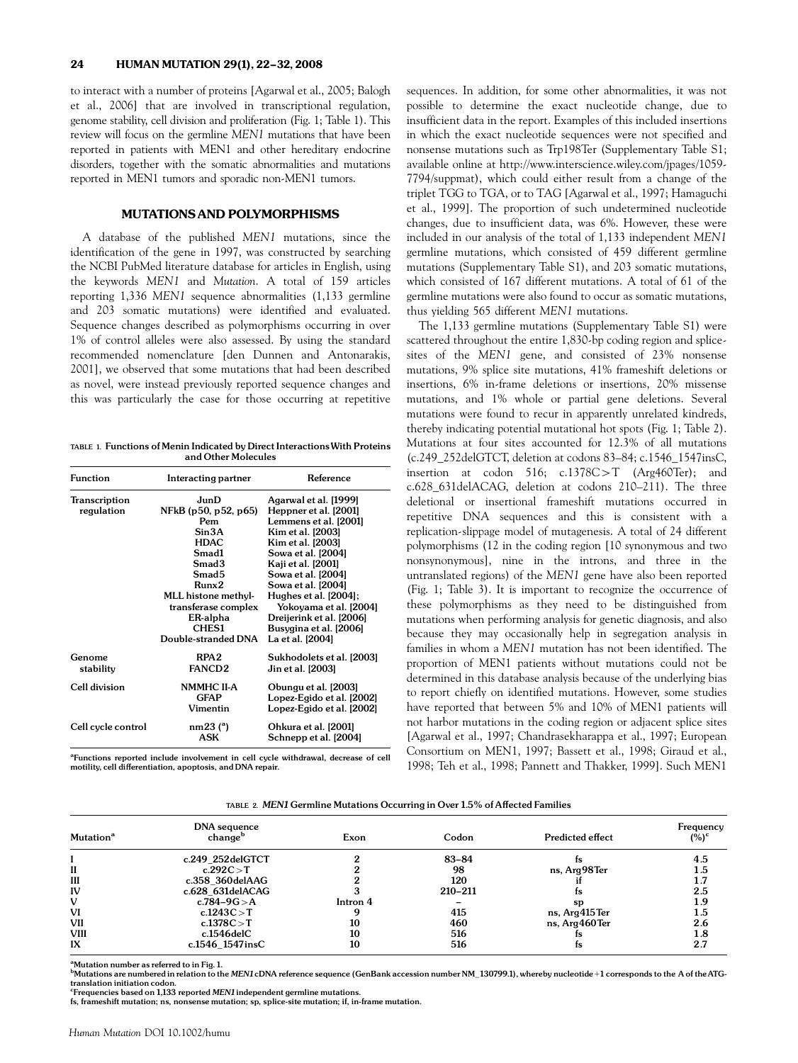to interact with a number of proteins [Agarwal et al., 2005; Balogh et al., 2006] that are involved in transcriptional regulation, genome stability, cell division and proliferation (Fig. 1; Table 1). This review will focus on the germline MEN1 mutations that have been reported in patients with MEN1 and other hereditary endocrine disorders, together with the somatic abnormalities and mutations reported in MEN1 tumors and sporadic non-MEN1 tumors.

# MUTATIONS AND POLYMORPHISMS

A database of the published MEN1 mutations, since the identification of the gene in 1997, was constructed by searching the NCBI PubMed literature database for articles in English, using the keywords MEN1 and Mutation. A total of 159 articles reporting 1,336 MEN1 sequence abnormalities (1,133 germline and 203 somatic mutations) were identified and evaluated. Sequence changes described as polymorphisms occurring in over 1% of control alleles were also assessed. By using the standard recommended nomenclature [den Dunnen and Antonarakis, 2001], we observed that some mutations that had been described as novel, were instead previously reported sequence changes and this was particularly the case for those occurring at repetitive

TABLE 1. Functions of Menin Indicated by Direct InteractionsWith Proteins and Other Molecules

| <b>Function</b>      | Interacting partner  | Reference                 |  |
|----------------------|----------------------|---------------------------|--|
| <b>Transcription</b> | JunD                 | Agarwal et al. [1999]     |  |
| regulation           | NFkB (p50, p52, p65) | Heppner et al. [2001]     |  |
|                      | Pem                  | Lemmens et al. [2001]     |  |
|                      | Sin3A                | Kim et al. [2003]         |  |
|                      | HDAC                 | Kim et al. [2003]         |  |
|                      | Smad1                | Sowa et al. [2004]        |  |
|                      | Smad <sub>3</sub>    | Kaji et al. [2001]        |  |
|                      | Smad <sub>5</sub>    | Sowa et al. [2004]        |  |
|                      | Runx2                | Sowa et al. [2004]        |  |
|                      | MLL histone methyl-  | Hughes et al. [2004];     |  |
|                      | transferase complex  | Yokoyama et al. [2004]    |  |
|                      | ER-alpha             | Dreijerink et al. [2006]  |  |
|                      | CHES1                | Busygina et al. [2006]    |  |
|                      | Double-stranded DNA  | La et al. [2004]          |  |
| Genome               | RPA <sub>2</sub>     | Sukhodolets et al. [2003] |  |
| stability            | <b>FANCD2</b>        | Jin et al. [2003]         |  |
| Cell division        | <b>NMMHC II-A</b>    | Obungu et al. [2003]      |  |
|                      | <b>GFAP</b>          | Lopez-Egido et al. [2002] |  |
|                      | Vimentin             | Lopez-Egido et al. [2002] |  |
| Cell cycle control   | nm23 <sup>(a)</sup>  | Ohkura et al. [2001]      |  |
|                      | ASK                  | Schnepp et al. [2004]     |  |

<sup>a</sup>Functions reported include involvement in cell cycle withdrawal, decrease of cell motility, cell differentiation, apoptosis, and DNA repair.

sequences. In addition, for some other abnormalities, it was not possible to determine the exact nucleotide change, due to insufficient data in the report. Examples of this included insertions in which the exact nucleotide sequences were not specified and nonsense mutations such as Trp198Ter (Supplementary Table S1; available online at http://www.interscience.wiley.com/jpages/1059- 7794/suppmat), which could either result from a change of the triplet TGG to TGA, or to TAG [Agarwal et al., 1997; Hamaguchi et al., 1999]. The proportion of such undetermined nucleotide changes, due to insufficient data, was 6%. However, these were included in our analysis of the total of 1,133 independent MEN1 germline mutations, which consisted of 459 different germline mutations (Supplementary Table S1), and 203 somatic mutations, which consisted of 167 different mutations. A total of 61 of the germline mutations were also found to occur as somatic mutations, thus yielding 565 different MEN1 mutations.

The 1,133 germline mutations (Supplementary Table S1) were scattered throughout the entire 1,830-bp coding region and splicesites of the MEN1 gene, and consisted of 23% nonsense mutations, 9% splice site mutations, 41% frameshift deletions or insertions, 6% in-frame deletions or insertions, 20% missense mutations, and 1% whole or partial gene deletions. Several mutations were found to recur in apparently unrelated kindreds, thereby indicating potential mutational hot spots (Fig. 1; Table 2). Mutations at four sites accounted for 12.3% of all mutations (c.249\_252delGTCT, deletion at codons 83–84; c.1546\_1547insC, insertion at codon 516;  $c.1378C > T$  (Arg460Ter); and c.628\_631delACAG, deletion at codons 210–211). The three deletional or insertional frameshift mutations occurred in repetitive DNA sequences and this is consistent with a replication-slippage model of mutagenesis. A total of 24 different polymorphisms (12 in the coding region [10 synonymous and two nonsynonymous], nine in the introns, and three in the untranslated regions) of the MEN1 gene have also been reported (Fig. 1; Table 3). It is important to recognize the occurrence of these polymorphisms as they need to be distinguished from mutations when performing analysis for genetic diagnosis, and also because they may occasionally help in segregation analysis in families in whom a MEN1 mutation has not been identified. The proportion of MEN1 patients without mutations could not be determined in this database analysis because of the underlying bias to report chiefly on identified mutations. However, some studies have reported that between 5% and 10% of MEN1 patients will not harbor mutations in the coding region or adjacent splice sites [Agarwal et al., 1997; Chandrasekharappa et al., 1997; European Consortium on MEN1, 1997; Bassett et al., 1998; Giraud et al., 1998; Teh et al., 1998; Pannett and Thakker, 1999]. Such MEN1

TABLE 2. MEN1 Germline Mutations Occurring in Over 1.5% of Affected Families

|                             | DNA sequence        |          |           |                  |                       |
|-----------------------------|---------------------|----------|-----------|------------------|-----------------------|
| <b>Mutation<sup>a</sup></b> | change <sup>o</sup> | Exon     | Codon     | Predicted effect | Frequency<br>$(\%)^c$ |
|                             | c.249_252delGTCT    |          | $83 - 84$ |                  | 4.5                   |
| II                          | c.292 $C > T$       |          | 98        | ns, Arg98Ter     | 1.5                   |
| Ш                           | c.358 360delAAG     |          | 120       |                  |                       |
| IV                          | c.628 631delACAG    |          | 210-211   | ts               | 2.5                   |
| v                           | c.784–9G $> A$      | Intron 4 |           | <b>SD</b>        | 1.9                   |
| VI                          | c.1243C $>$ T       |          | 415       | ns, Arg415Ter    | 1.5                   |
| <b>VII</b>                  | c.1378 $C > T$      | 10       | 460       | ns, Arg460Ter    | 2.6                   |
| <b>VIII</b>                 | c.1546delC          | 10       | 516       |                  | 1.8                   |
| IX                          | c.1546_1547insC     | 10       | 516       | ΙS               | 2.7                   |

<sup>a</sup>Mutation number as referred to in Fig. 1.

 $^{\rm b}$ Mutations are numbered in relation to the MEN1 cDNA reference sequence (GenBank accession number NM\_130799.1), whereby nucleotide +1 corresponds to the A of the ATGtranslation initiation codon.

<sup>c</sup>Frequencies based on 1,133 reported MEN1 independent germline mutations.

fs, frameshift mutation; ns, nonsense mutation; sp, splice-site mutation; if, in-frame mutation.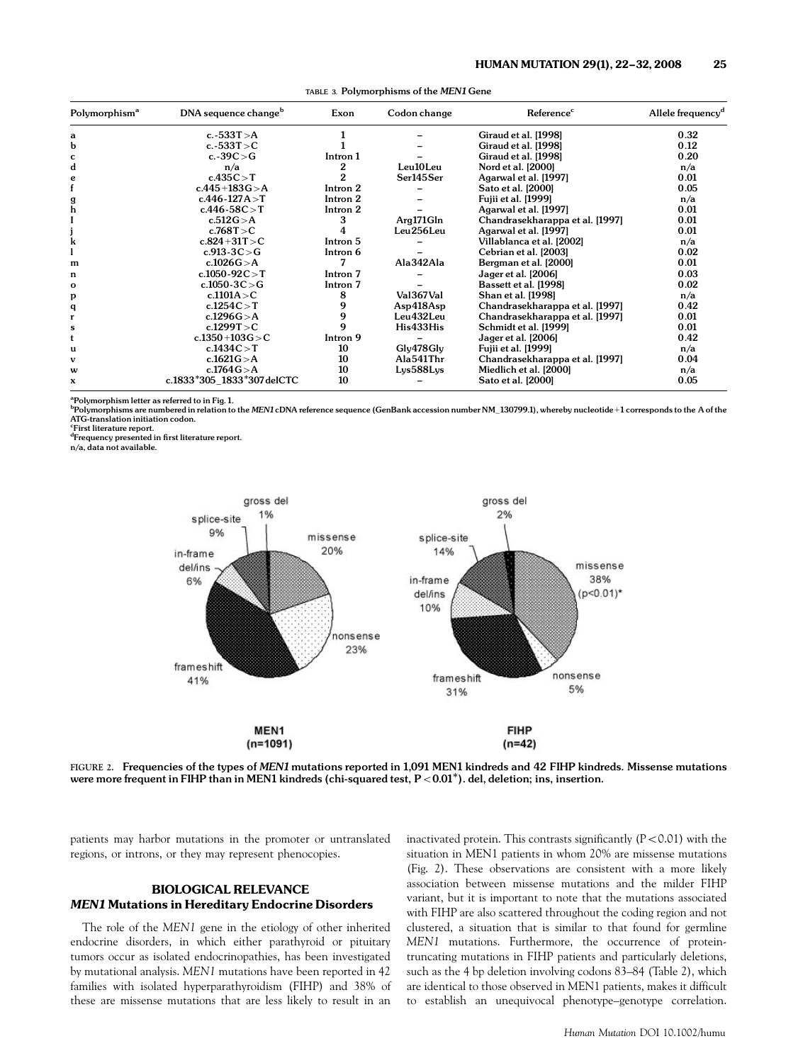| Polymorphism <sup>a</sup> | DNA sequence change <sup>b</sup> | Exon     | Codon change | Reference <sup>c</sup>          | Allele frequency <sup>d</sup> |
|---------------------------|----------------------------------|----------|--------------|---------------------------------|-------------------------------|
| a                         | c.-533 $T > A$                   |          |              | Giraud et al. [1998]            | 0.32                          |
| b                         | c.-533T $>$ C                    |          |              | Giraud et al. [1998]            | 0.12                          |
| c                         | c.-39 $C > G$                    | Intron 1 |              | Giraud et al. [1998]            | 0.20                          |
| d                         | n/a                              |          | Leu10Leu     | Nord et al. [2000]              | n/a                           |
| e                         | c.435C > T                       |          | Ser145Ser    | Agarwal et al. [1997]           | 0.01                          |
|                           | $c.445 + 183G > A$               | Intron 2 |              | Sato et al. [2000]              | 0.05                          |
| g                         | $c.446 - 127A > T$               | Intron 2 |              | Fujii et al. [1999]             | n/a                           |
| h                         | $c.446 - 58C > T$                | Intron 2 |              | Agarwal et al. [1997]           | 0.01                          |
|                           | c.512 $G > A$                    | 3        | Arg171Gln    | Chandrasekharappa et al. [1997] | 0.01                          |
|                           | c.768 $T > C$                    |          | Leu256Leu    | Agarwal et al. [1997]           | 0.01                          |
| k                         | $c.824 + 31T > C$                | Intron 5 |              | Villablanca et al. [2002]       | n/a                           |
|                           | $c.913 - 3C > G$                 | Intron 6 |              | Cebrian et al. [2003]           | 0.02                          |
| m                         | c.1026 $G > A$                   |          | Ala342Ala    | Bergman et al. [2000]           | 0.01                          |
| n                         | c.1050-92 $C > T$                | Intron 7 |              | Jager et al. [2006]             | 0.03                          |
| $\mathbf{o}$              | c.1050-3C $>$ G                  | Intron 7 |              | Bassett et al. [1998]           | 0.02                          |
| р                         | c.1101A $>$ C                    | 8        | Val367Val    | Shan et al. [1998]              | n/a                           |
| q                         | c.1254C > T                      | 9        | Asp418Asp    | Chandrasekharappa et al. [1997] | 0.42                          |
|                           | c.1296 $G > A$                   | 9        | Leu432Leu    | Chandrasekharappa et al. [1997] | 0.01                          |
| s                         | c.1299T $>$ C                    | q        | His433His    | Schmidt et al. [1999]           | 0.01                          |
| t                         | $c.1350 + 103G > C$              | Intron 9 |              | Jager et al. [2006]             | 0.42                          |
| u                         | c.1434C > T                      | 10       | Gly478Gly    | Fujii et al. [1999]             | n/a                           |
| v                         | c.1621 $G > A$                   | 10       | Ala541Thr    | Chandrasekharappa et al. [1997] | 0.04                          |
| W                         | c.1764 $G > A$                   | 10       | Lys588Lys    | Miedlich et al. [2000]          | n/a                           |
| x                         | c.1833*305_1833*307 delCTC       | 10       |              | Sato et al. [2000]              | 0.05                          |

TABLE 3. Polymorphisms of the MEN1 Gene

<sup>a</sup>Polymorphism letter as referred to in Fig. 1.

 $^{\rm b}$ Polymorphisms are numbered in relation to the MEN1 cDNA reference sequence (GenBank accession number NM\_130799.1), whereby nucleotide+1 corresponds to the A of the ATG-translation initiation codon.

c First literature report.

<sup>d</sup>Frequency presented in first literature report.<br>n/a, data not available.



FIGURE 2. Frequencies of the types of MEN1 mutations reported in 1,091 MEN1 kindreds and 42 FIHP kindreds. Missense mutations were more frequent in FIHP than in MEN1 kindreds (chi-squared test,  $P < 0.01$ <sup>\*</sup>). del, deletion; ins, insertion.

patients may harbor mutations in the promoter or untranslated regions, or introns, or they may represent phenocopies.

# BIOLOGICAL RELEVANCE MEN1 Mutations in Hereditary Endocrine Disorders

The role of the MEN1 gene in the etiology of other inherited endocrine disorders, in which either parathyroid or pituitary tumors occur as isolated endocrinopathies, has been investigated by mutational analysis. MEN1 mutations have been reported in 42 families with isolated hyperparathyroidism (FIHP) and 38% of these are missense mutations that are less likely to result in an

inactivated protein. This contrasts significantly  $(P<0.01)$  with the situation in MEN1 patients in whom 20% are missense mutations (Fig. 2). These observations are consistent with a more likely association between missense mutations and the milder FIHP variant, but it is important to note that the mutations associated with FIHP are also scattered throughout the coding region and not clustered, a situation that is similar to that found for germline MEN1 mutations. Furthermore, the occurrence of proteintruncating mutations in FIHP patients and particularly deletions, such as the 4 bp deletion involving codons 83–84 (Table 2), which are identical to those observed in MEN1 patients, makes it difficult to establish an unequivocal phenotype–genotype correlation.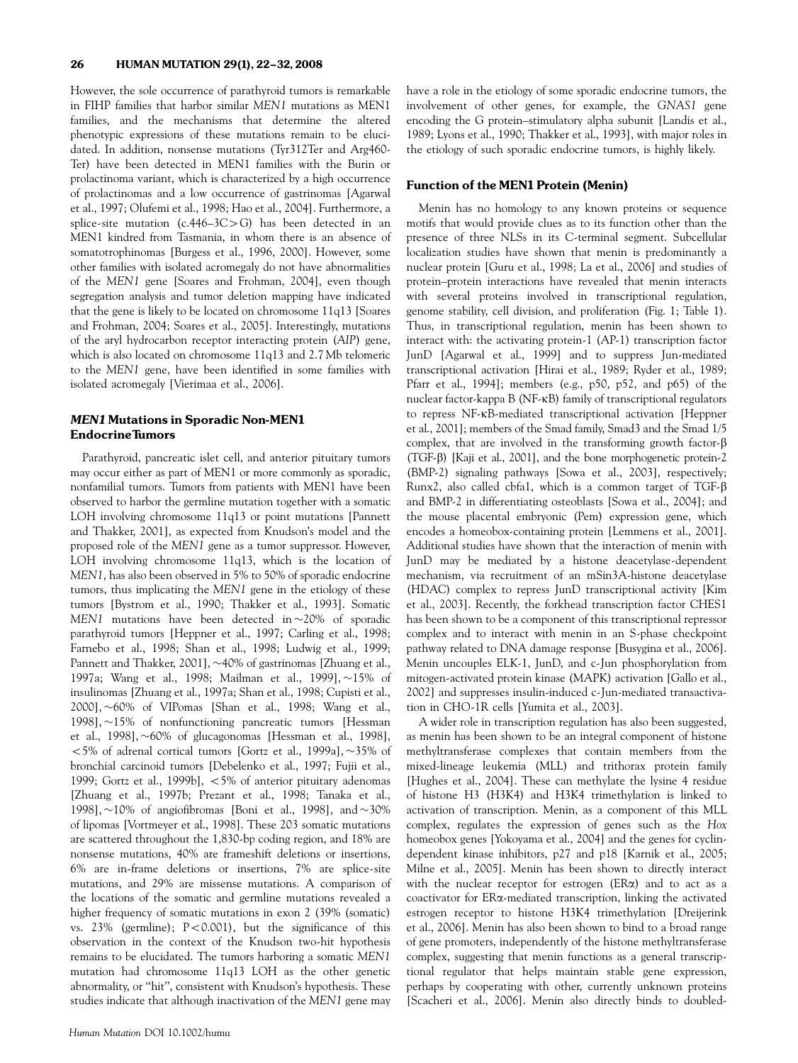However, the sole occurrence of parathyroid tumors is remarkable in FIHP families that harbor similar MEN1 mutations as MEN1 families, and the mechanisms that determine the altered phenotypic expressions of these mutations remain to be elucidated. In addition, nonsense mutations (Tyr312Ter and Arg460- Ter) have been detected in MEN1 families with the Burin or prolactinoma variant, which is characterized by a high occurrence of prolactinomas and a low occurrence of gastrinomas [Agarwal et al., 1997; Olufemi et al., 1998; Hao et al., 2004]. Furthermore, a splice-site mutation (c.446–3C $>$ G) has been detected in an MEN1 kindred from Tasmania, in whom there is an absence of somatotrophinomas [Burgess et al., 1996, 2000]. However, some other families with isolated acromegaly do not have abnormalities of the MEN1 gene [Soares and Frohman, 2004], even though segregation analysis and tumor deletion mapping have indicated that the gene is likely to be located on chromosome 11q13 [Soares and Frohman, 2004; Soares et al., 2005]. Interestingly, mutations of the aryl hydrocarbon receptor interacting protein (AIP) gene, which is also located on chromosome 11q13 and 2.7 Mb telomeric to the MEN1 gene, have been identified in some families with isolated acromegaly [Vierimaa et al., 2006].

# MEN1 Mutations in Sporadic Non-MEN1 EndocrineTumors

Parathyroid, pancreatic islet cell, and anterior pituitary tumors may occur either as part of MEN1 or more commonly as sporadic, nonfamilial tumors. Tumors from patients with MEN1 have been observed to harbor the germline mutation together with a somatic LOH involving chromosome 11q13 or point mutations [Pannett and Thakker, 2001], as expected from Knudson's model and the proposed role of the MEN1 gene as a tumor suppressor. However, LOH involving chromosome 11q13, which is the location of MEN1, has also been observed in 5% to 50% of sporadic endocrine tumors, thus implicating the MEN1 gene in the etiology of these tumors [Bystrom et al., 1990; Thakker et al., 1993]. Somatic MEN1 mutations have been detected in  $\sim$ 20% of sporadic parathyroid tumors [Heppner et al., 1997; Carling et al., 1998; Farnebo et al., 1998; Shan et al., 1998; Ludwig et al., 1999; Pannett and Thakker, 2001], ~40% of gastrinomas [Zhuang et al., 1997a; Wang et al., 1998; Mailman et al., 1999], ~15% of insulinomas [Zhuang et al., 1997a; Shan et al., 1998; Cupisti et al., 2000], 60% of VIPomas [Shan et al., 1998; Wang et al., 1998],  $\sim$ 15% of nonfunctioning pancreatic tumors [Hessman] et al., 1998],  $\sim 60\%$  of glucagonomas [Hessman et al., 1998],  $<$  5% of adrenal cortical tumors [Gortz et al., 1999a],  $\sim$ 35% of bronchial carcinoid tumors [Debelenko et al., 1997; Fujii et al., 1999; Gortz et al., 1999b],  $< 5\%$  of anterior pituitary adenomas [Zhuang et al., 1997b; Prezant et al., 1998; Tanaka et al., 1998],  $\sim$ 10% of angiofibromas [Boni et al., 1998], and  $\sim$ 30% of lipomas [Vortmeyer et al., 1998]. These 203 somatic mutations are scattered throughout the 1,830-bp coding region, and 18% are nonsense mutations, 40% are frameshift deletions or insertions, 6% are in-frame deletions or insertions, 7% are splice-site mutations, and 29% are missense mutations. A comparison of the locations of the somatic and germline mutations revealed a higher frequency of somatic mutations in exon 2 (39% (somatic) vs.  $23\%$  (germline);  $P < 0.001$ ), but the significance of this observation in the context of the Knudson two-hit hypothesis remains to be elucidated. The tumors harboring a somatic MEN1 mutation had chromosome 11q13 LOH as the other genetic abnormality, or ''hit'', consistent with Knudson's hypothesis. These studies indicate that although inactivation of the MEN1 gene may

have a role in the etiology of some sporadic endocrine tumors, the involvement of other genes, for example, the GNAS1 gene encoding the G protein–stimulatory alpha subunit [Landis et al., 1989; Lyons et al., 1990; Thakker et al., 1993], with major roles in the etiology of such sporadic endocrine tumors, is highly likely.

# Function of the MEN1 Protein (Menin)

Menin has no homology to any known proteins or sequence motifs that would provide clues as to its function other than the presence of three NLSs in its C-terminal segment. Subcellular localization studies have shown that menin is predominantly a nuclear protein [Guru et al., 1998; La et al., 2006] and studies of protein–protein interactions have revealed that menin interacts with several proteins involved in transcriptional regulation, genome stability, cell division, and proliferation (Fig. 1; Table 1). Thus, in transcriptional regulation, menin has been shown to interact with: the activating protein-1 (AP-1) transcription factor JunD [Agarwal et al., 1999] and to suppress Jun-mediated transcriptional activation [Hirai et al., 1989; Ryder et al., 1989; Pfarr et al., 1994]; members (e.g., p50, p52, and p65) of the nuclear factor-kappa B (NF-kB) family of transcriptional regulators to repress NF-kB-mediated transcriptional activation [Heppner et al., 2001]; members of the Smad family, Smad3 and the Smad 1/5 complex, that are involved in the transforming growth factor- $\beta$ (TGF-b) [Kaji et al., 2001], and the bone morphogenetic protein-2 (BMP-2) signaling pathways [Sowa et al., 2003], respectively; Runx2, also called cbfa1, which is a common target of TGF- $\beta$ and BMP-2 in differentiating osteoblasts [Sowa et al., 2004]; and the mouse placental embryonic (Pem) expression gene, which encodes a homeobox-containing protein [Lemmens et al., 2001]. Additional studies have shown that the interaction of menin with JunD may be mediated by a histone deacetylase-dependent mechanism, via recruitment of an mSin3A-histone deacetylase (HDAC) complex to repress JunD transcriptional activity [Kim et al., 2003]. Recently, the forkhead transcription factor CHES1 has been shown to be a component of this transcriptional repressor complex and to interact with menin in an S-phase checkpoint pathway related to DNA damage response [Busygina et al., 2006]. Menin uncouples ELK-1, JunD, and c-Jun phosphorylation from mitogen-activated protein kinase (MAPK) activation [Gallo et al., 2002] and suppresses insulin-induced c-Jun-mediated transactivation in CHO-1R cells [Yumita et al., 2003].

A wider role in transcription regulation has also been suggested, as menin has been shown to be an integral component of histone methyltransferase complexes that contain members from the mixed-lineage leukemia (MLL) and trithorax protein family [Hughes et al., 2004]. These can methylate the lysine 4 residue of histone H3 (H3K4) and H3K4 trimethylation is linked to activation of transcription. Menin, as a component of this MLL complex, regulates the expression of genes such as the Hox homeobox genes [Yokoyama et al., 2004] and the genes for cyclindependent kinase inhibitors, p27 and p18 [Karnik et al., 2005; Milne et al., 2005]. Menin has been shown to directly interact with the nuclear receptor for estrogen ( $ER\alpha$ ) and to act as a coactivator for ERa-mediated transcription, linking the activated estrogen receptor to histone H3K4 trimethylation [Dreijerink et al., 2006]. Menin has also been shown to bind to a broad range of gene promoters, independently of the histone methyltransferase complex, suggesting that menin functions as a general transcriptional regulator that helps maintain stable gene expression, perhaps by cooperating with other, currently unknown proteins [Scacheri et al., 2006]. Menin also directly binds to doubled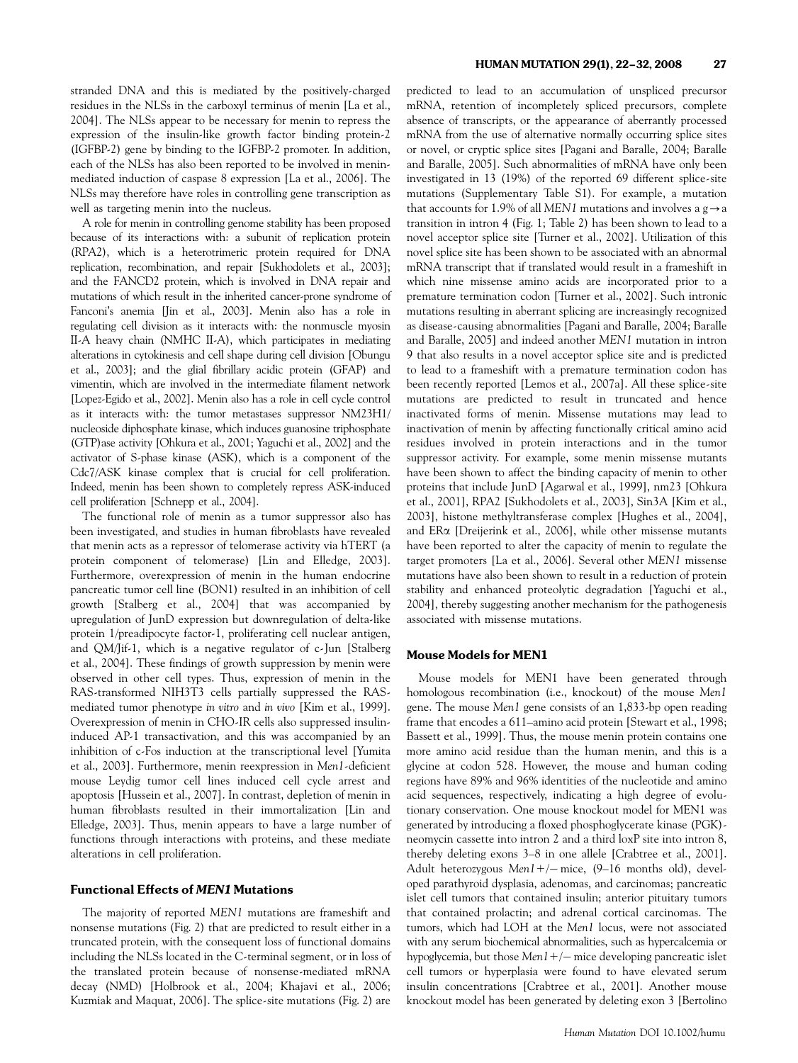stranded DNA and this is mediated by the positively-charged residues in the NLSs in the carboxyl terminus of menin [La et al., 2004]. The NLSs appear to be necessary for menin to repress the expression of the insulin-like growth factor binding protein-2 (IGFBP-2) gene by binding to the IGFBP-2 promoter. In addition, each of the NLSs has also been reported to be involved in meninmediated induction of caspase 8 expression [La et al., 2006]. The NLSs may therefore have roles in controlling gene transcription as well as targeting menin into the nucleus.

A role for menin in controlling genome stability has been proposed because of its interactions with: a subunit of replication protein (RPA2), which is a heterotrimeric protein required for DNA replication, recombination, and repair [Sukhodolets et al., 2003]; and the FANCD2 protein, which is involved in DNA repair and mutations of which result in the inherited cancer-prone syndrome of Fanconi's anemia [Jin et al., 2003]. Menin also has a role in regulating cell division as it interacts with: the nonmuscle myosin II-A heavy chain (NMHC II-A), which participates in mediating alterations in cytokinesis and cell shape during cell division [Obungu et al., 2003]; and the glial fibrillary acidic protein (GFAP) and vimentin, which are involved in the intermediate filament network [Lopez-Egido et al., 2002]. Menin also has a role in cell cycle control as it interacts with: the tumor metastases suppressor NM23H1/ nucleoside diphosphate kinase, which induces guanosine triphosphate (GTP)ase activity [Ohkura et al., 2001; Yaguchi et al., 2002] and the activator of S-phase kinase (ASK), which is a component of the Cdc7/ASK kinase complex that is crucial for cell proliferation. Indeed, menin has been shown to completely repress ASK-induced cell proliferation [Schnepp et al., 2004].

The functional role of menin as a tumor suppressor also has been investigated, and studies in human fibroblasts have revealed that menin acts as a repressor of telomerase activity via hTERT (a protein component of telomerase) [Lin and Elledge, 2003]. Furthermore, overexpression of menin in the human endocrine pancreatic tumor cell line (BON1) resulted in an inhibition of cell growth [Stalberg et al., 2004] that was accompanied by upregulation of JunD expression but downregulation of delta-like protein 1/preadipocyte factor-1, proliferating cell nuclear antigen, and QM/Jif-1, which is a negative regulator of c-Jun [Stalberg et al., 2004]. These findings of growth suppression by menin were observed in other cell types. Thus, expression of menin in the RAS-transformed NIH3T3 cells partially suppressed the RASmediated tumor phenotype in vitro and in vivo [Kim et al., 1999]. Overexpression of menin in CHO-IR cells also suppressed insulininduced AP-1 transactivation, and this was accompanied by an inhibition of c-Fos induction at the transcriptional level [Yumita et al., 2003]. Furthermore, menin reexpression in Men1-deficient mouse Leydig tumor cell lines induced cell cycle arrest and apoptosis [Hussein et al., 2007]. In contrast, depletion of menin in human fibroblasts resulted in their immortalization [Lin and Elledge, 2003]. Thus, menin appears to have a large number of functions through interactions with proteins, and these mediate alterations in cell proliferation.

# Functional Effects of MEN1 Mutations

The majority of reported MEN1 mutations are frameshift and nonsense mutations (Fig. 2) that are predicted to result either in a truncated protein, with the consequent loss of functional domains including the NLSs located in the C-terminal segment, or in loss of the translated protein because of nonsense-mediated mRNA decay (NMD) [Holbrook et al., 2004; Khajavi et al., 2006; Kuzmiak and Maquat, 2006]. The splice-site mutations (Fig. 2) are

predicted to lead to an accumulation of unspliced precursor mRNA, retention of incompletely spliced precursors, complete absence of transcripts, or the appearance of aberrantly processed mRNA from the use of alternative normally occurring splice sites or novel, or cryptic splice sites [Pagani and Baralle, 2004; Baralle and Baralle, 2005]. Such abnormalities of mRNA have only been investigated in 13 (19%) of the reported 69 different splice-site mutations (Supplementary Table S1). For example, a mutation that accounts for 1.9% of all MEN1 mutations and involves a  $g \rightarrow a$ transition in intron 4 (Fig. 1; Table 2) has been shown to lead to a novel acceptor splice site [Turner et al., 2002]. Utilization of this novel splice site has been shown to be associated with an abnormal mRNA transcript that if translated would result in a frameshift in which nine missense amino acids are incorporated prior to a premature termination codon [Turner et al., 2002]. Such intronic mutations resulting in aberrant splicing are increasingly recognized as disease-causing abnormalities [Pagani and Baralle, 2004; Baralle and Baralle, 2005] and indeed another MEN1 mutation in intron 9 that also results in a novel acceptor splice site and is predicted to lead to a frameshift with a premature termination codon has been recently reported [Lemos et al., 2007a]. All these splice-site mutations are predicted to result in truncated and hence inactivated forms of menin. Missense mutations may lead to inactivation of menin by affecting functionally critical amino acid residues involved in protein interactions and in the tumor suppressor activity. For example, some menin missense mutants have been shown to affect the binding capacity of menin to other proteins that include JunD [Agarwal et al., 1999], nm23 [Ohkura et al., 2001], RPA2 [Sukhodolets et al., 2003], Sin3A [Kim et al., 2003], histone methyltransferase complex [Hughes et al., 2004], and ERa [Dreijerink et al., 2006], while other missense mutants have been reported to alter the capacity of menin to regulate the target promoters [La et al., 2006]. Several other MEN1 missense mutations have also been shown to result in a reduction of protein stability and enhanced proteolytic degradation [Yaguchi et al., 2004], thereby suggesting another mechanism for the pathogenesis associated with missense mutations.

# Mouse Models for MEN1

Mouse models for MEN1 have been generated through homologous recombination (i.e., knockout) of the mouse Men1 gene. The mouse Men1 gene consists of an 1,833-bp open reading frame that encodes a 611–amino acid protein [Stewart et al., 1998; Bassett et al., 1999]. Thus, the mouse menin protein contains one more amino acid residue than the human menin, and this is a glycine at codon 528. However, the mouse and human coding regions have 89% and 96% identities of the nucleotide and amino acid sequences, respectively, indicating a high degree of evolutionary conservation. One mouse knockout model for MEN1 was generated by introducing a floxed phosphoglycerate kinase (PGK) neomycin cassette into intron 2 and a third loxP site into intron 8, thereby deleting exons 3–8 in one allele [Crabtree et al., 2001]. Adult heterozygous Men1+/- mice, (9-16 months old), developed parathyroid dysplasia, adenomas, and carcinomas; pancreatic islet cell tumors that contained insulin; anterior pituitary tumors that contained prolactin; and adrenal cortical carcinomas. The tumors, which had LOH at the Men1 locus, were not associated with any serum biochemical abnormalities, such as hypercalcemia or hypoglycemia, but those  $Men1+/-$  mice developing pancreatic islet cell tumors or hyperplasia were found to have elevated serum insulin concentrations [Crabtree et al., 2001]. Another mouse knockout model has been generated by deleting exon 3 [Bertolino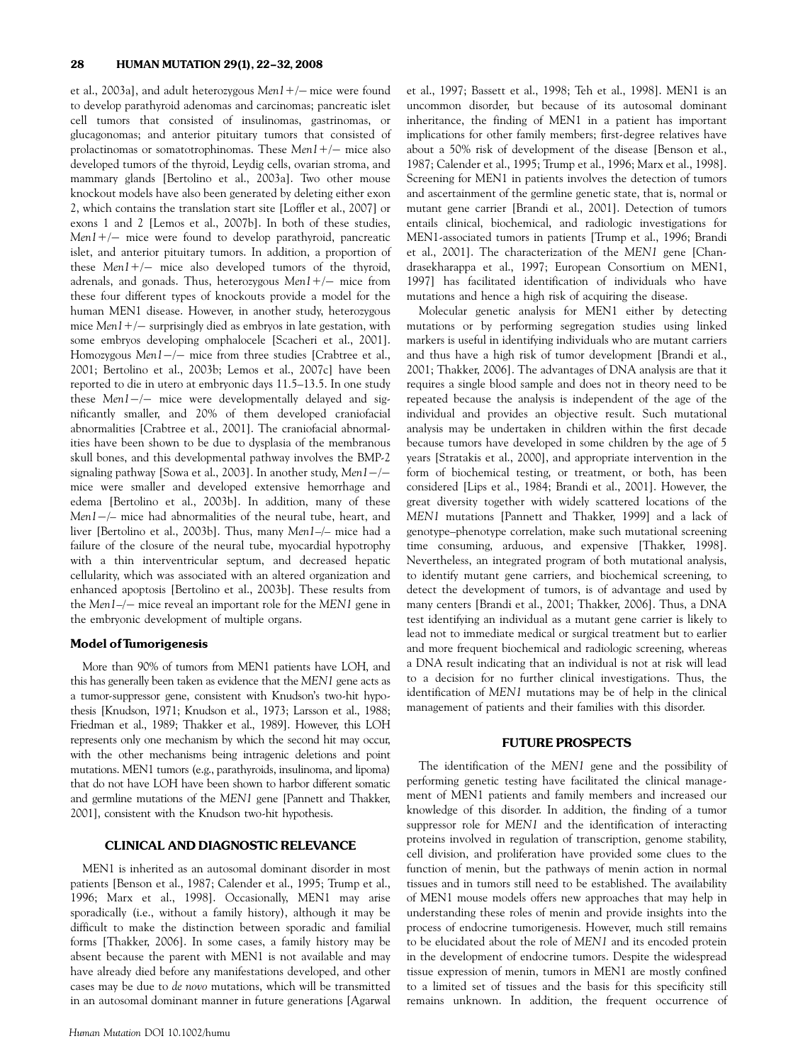et al., 2003a], and adult heterozygous M*en1+/–* mice were found to develop parathyroid adenomas and carcinomas; pancreatic islet cell tumors that consisted of insulinomas, gastrinomas, or glucagonomas; and anterior pituitary tumors that consisted of prolactinomas or somatotrophinomas. These  $Men1+/-$  mice also developed tumors of the thyroid, Leydig cells, ovarian stroma, and mammary glands [Bertolino et al., 2003a]. Two other mouse knockout models have also been generated by deleting either exon 2, which contains the translation start site [Loffler et al., 2007] or exons 1 and 2 [Lemos et al., 2007b]. In both of these studies, Men1+/- mice were found to develop parathyroid, pancreatic islet, and anterior pituitary tumors. In addition, a proportion of these  $Men1+/-$  mice also developed tumors of the thyroid, adrenals, and gonads. Thus, heterozygous Men1+/– mice from these four different types of knockouts provide a model for the human MEN1 disease. However, in another study, heterozygous mice Men1+/– surprisingly died as embryos in late gestation, with some embryos developing omphalocele [Scacheri et al., 2001]. Homozygous Men1-/- mice from three studies [Crabtree et al., 2001; Bertolino et al., 2003b; Lemos et al., 2007c] have been reported to die in utero at embryonic days 11.5–13.5. In one study these Men1-/- mice were developmentally delayed and significantly smaller, and 20% of them developed craniofacial abnormalities [Crabtree et al., 2001]. The craniofacial abnormalities have been shown to be due to dysplasia of the membranous skull bones, and this developmental pathway involves the BMP-2 signaling pathway [Sowa et al., 2003]. In another study, M*en1* —/ mice were smaller and developed extensive hemorrhage and edema [Bertolino et al., 2003b]. In addition, many of these Men1-/– mice had abnormalities of the neural tube, heart, and liver [Bertolino et al., 2003b]. Thus, many Men1–/– mice had a failure of the closure of the neural tube, myocardial hypotrophy with a thin interventricular septum, and decreased hepatic cellularity, which was associated with an altered organization and enhanced apoptosis [Bertolino et al., 2003b]. These results from the Men1–/- mice reveal an important role for the MEN1 gene in the embryonic development of multiple organs.

# Model of Tumorigenesis

More than 90% of tumors from MEN1 patients have LOH, and this has generally been taken as evidence that the MEN1 gene acts as a tumor-suppressor gene, consistent with Knudson's two-hit hypothesis [Knudson, 1971; Knudson et al., 1973; Larsson et al., 1988; Friedman et al., 1989; Thakker et al., 1989]. However, this LOH represents only one mechanism by which the second hit may occur, with the other mechanisms being intragenic deletions and point mutations. MEN1 tumors (e.g., parathyroids, insulinoma, and lipoma) that do not have LOH have been shown to harbor different somatic and germline mutations of the MEN1 gene [Pannett and Thakker, 2001], consistent with the Knudson two-hit hypothesis.

# CLINICAL AND DIAGNOSTIC RELEVANCE

MEN1 is inherited as an autosomal dominant disorder in most patients [Benson et al., 1987; Calender et al., 1995; Trump et al., 1996; Marx et al., 1998]. Occasionally, MEN1 may arise sporadically (i.e., without a family history), although it may be difficult to make the distinction between sporadic and familial forms [Thakker, 2006]. In some cases, a family history may be absent because the parent with MEN1 is not available and may have already died before any manifestations developed, and other cases may be due to de novo mutations, which will be transmitted in an autosomal dominant manner in future generations [Agarwal et al., 1997; Bassett et al., 1998; Teh et al., 1998]. MEN1 is an uncommon disorder, but because of its autosomal dominant inheritance, the finding of MEN1 in a patient has important implications for other family members; first-degree relatives have about a 50% risk of development of the disease [Benson et al., 1987; Calender et al., 1995; Trump et al., 1996; Marx et al., 1998]. Screening for MEN1 in patients involves the detection of tumors and ascertainment of the germline genetic state, that is, normal or mutant gene carrier [Brandi et al., 2001]. Detection of tumors entails clinical, biochemical, and radiologic investigations for MEN1-associated tumors in patients [Trump et al., 1996; Brandi et al., 2001]. The characterization of the MEN1 gene [Chandrasekharappa et al., 1997; European Consortium on MEN1, 1997] has facilitated identification of individuals who have mutations and hence a high risk of acquiring the disease.

Molecular genetic analysis for MEN1 either by detecting mutations or by performing segregation studies using linked markers is useful in identifying individuals who are mutant carriers and thus have a high risk of tumor development [Brandi et al., 2001; Thakker, 2006]. The advantages of DNA analysis are that it requires a single blood sample and does not in theory need to be repeated because the analysis is independent of the age of the individual and provides an objective result. Such mutational analysis may be undertaken in children within the first decade because tumors have developed in some children by the age of 5 years [Stratakis et al., 2000], and appropriate intervention in the form of biochemical testing, or treatment, or both, has been considered [Lips et al., 1984; Brandi et al., 2001]. However, the great diversity together with widely scattered locations of the MEN1 mutations [Pannett and Thakker, 1999] and a lack of genotype–phenotype correlation, make such mutational screening time consuming, arduous, and expensive [Thakker, 1998]. Nevertheless, an integrated program of both mutational analysis, to identify mutant gene carriers, and biochemical screening, to detect the development of tumors, is of advantage and used by many centers [Brandi et al., 2001; Thakker, 2006]. Thus, a DNA test identifying an individual as a mutant gene carrier is likely to lead not to immediate medical or surgical treatment but to earlier and more frequent biochemical and radiologic screening, whereas a DNA result indicating that an individual is not at risk will lead to a decision for no further clinical investigations. Thus, the identification of MEN1 mutations may be of help in the clinical management of patients and their families with this disorder.

# FUTURE PROSPECTS

The identification of the MEN1 gene and the possibility of performing genetic testing have facilitated the clinical management of MEN1 patients and family members and increased our knowledge of this disorder. In addition, the finding of a tumor suppressor role for MEN1 and the identification of interacting proteins involved in regulation of transcription, genome stability, cell division, and proliferation have provided some clues to the function of menin, but the pathways of menin action in normal tissues and in tumors still need to be established. The availability of MEN1 mouse models offers new approaches that may help in understanding these roles of menin and provide insights into the process of endocrine tumorigenesis. However, much still remains to be elucidated about the role of MEN1 and its encoded protein in the development of endocrine tumors. Despite the widespread tissue expression of menin, tumors in MEN1 are mostly confined to a limited set of tissues and the basis for this specificity still remains unknown. In addition, the frequent occurrence of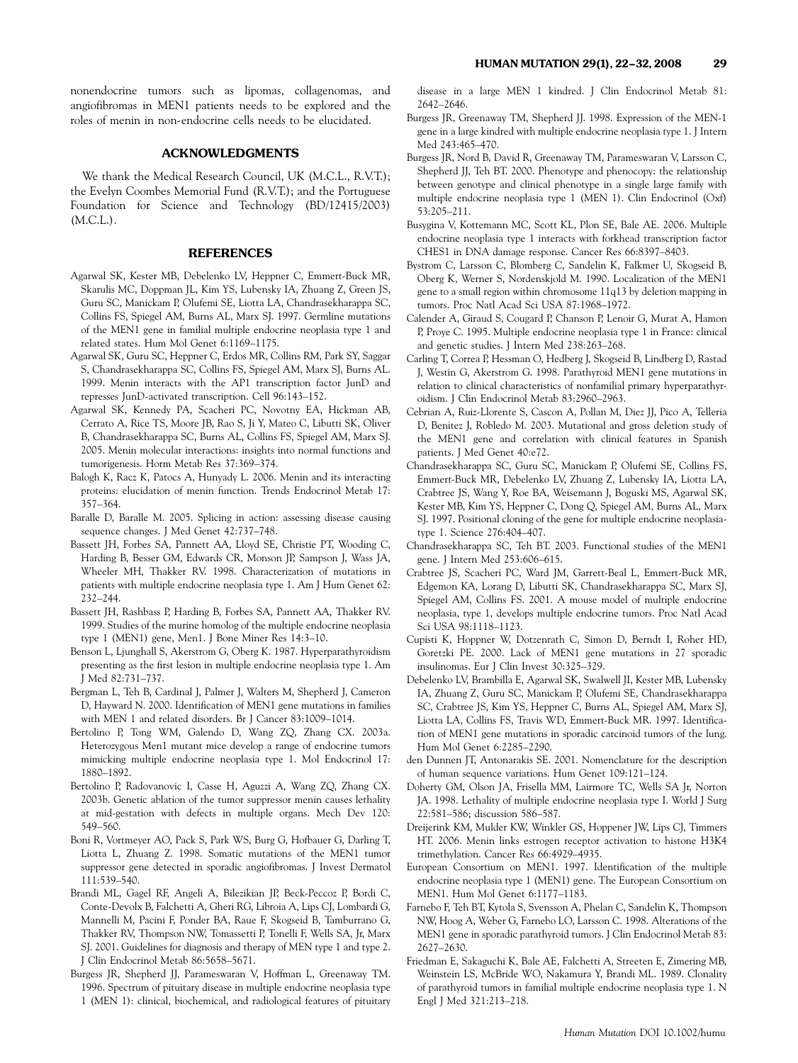nonendocrine tumors such as lipomas, collagenomas, and angiofibromas in MEN1 patients needs to be explored and the roles of menin in non-endocrine cells needs to be elucidated.

# ACKNOWLEDGMENTS

We thank the Medical Research Council, UK (M.C.L., R.V.T.); the Evelyn Coombes Memorial Fund (R.V.T.); and the Portuguese Foundation for Science and Technology (BD/12415/2003) (M.C.L.).

# **REFERENCES**

- Agarwal SK, Kester MB, Debelenko LV, Heppner C, Emmert-Buck MR, Skarulis MC, Doppman JL, Kim YS, Lubensky IA, Zhuang Z, Green JS, Guru SC, Manickam P, Olufemi SE, Liotta LA, Chandrasekharappa SC, Collins FS, Spiegel AM, Burns AL, Marx SJ. 1997. Germline mutations of the MEN1 gene in familial multiple endocrine neoplasia type 1 and related states. Hum Mol Genet 6:1169–1175.
- Agarwal SK, Guru SC, Heppner C, Erdos MR, Collins RM, Park SY, Saggar S, Chandrasekharappa SC, Collins FS, Spiegel AM, Marx SJ, Burns AL. 1999. Menin interacts with the AP1 transcription factor JunD and represses JunD-activated transcription. Cell 96:143–152.
- Agarwal SK, Kennedy PA, Scacheri PC, Novotny EA, Hickman AB, Cerrato A, Rice TS, Moore JB, Rao S, Ji Y, Mateo C, Libutti SK, Oliver B, Chandrasekharappa SC, Burns AL, Collins FS, Spiegel AM, Marx SJ. 2005. Menin molecular interactions: insights into normal functions and tumorigenesis. Horm Metab Res 37:369–374.
- Balogh K, Racz K, Patocs A, Hunyady L. 2006. Menin and its interacting proteins: elucidation of menin function. Trends Endocrinol Metab 17: 357–364.
- Baralle D, Baralle M. 2005. Splicing in action: assessing disease causing sequence changes. J Med Genet 42:737–748.
- Bassett JH, Forbes SA, Pannett AA, Lloyd SE, Christie PT, Wooding C, Harding B, Besser GM, Edwards CR, Monson JP, Sampson J, Wass JA, Wheeler MH, Thakker RV. 1998. Characterization of mutations in patients with multiple endocrine neoplasia type 1. Am J Hum Genet 62: 232–244.
- Bassett JH, Rashbass P, Harding B, Forbes SA, Pannett AA, Thakker RV. 1999. Studies of the murine homolog of the multiple endocrine neoplasia type 1 (MEN1) gene, Men1. J Bone Miner Res 14:3–10.
- Benson L, Ljunghall S, Akerstrom G, Oberg K. 1987. Hyperparathyroidism presenting as the first lesion in multiple endocrine neoplasia type 1. Am J Med 82:731–737.
- Bergman L, Teh B, Cardinal J, Palmer J, Walters M, Shepherd J, Cameron D, Hayward N. 2000. Identification of MEN1 gene mutations in families with MEN 1 and related disorders. Br J Cancer 83:1009–1014.
- Bertolino P, Tong WM, Galendo D, Wang ZQ, Zhang CX. 2003a. Heterozygous Men1 mutant mice develop a range of endocrine tumors mimicking multiple endocrine neoplasia type 1. Mol Endocrinol 17: 1880–1892.
- Bertolino P, Radovanovic I, Casse H, Aguzzi A, Wang ZQ, Zhang CX. 2003b. Genetic ablation of the tumor suppressor menin causes lethality at mid-gestation with defects in multiple organs. Mech Dev 120: 549–560.
- Boni R, Vortmeyer AO, Pack S, Park WS, Burg G, Hofbauer G, Darling T, Liotta L, Zhuang Z. 1998. Somatic mutations of the MEN1 tumor suppressor gene detected in sporadic angiofibromas. J Invest Dermatol 111:539–540.
- Brandi ML, Gagel RF, Angeli A, Bilezikian JP, Beck-Peccoz P, Bordi C, Conte-Devolx B, Falchetti A, Gheri RG, Libroia A, Lips CJ, Lombardi G, Mannelli M, Pacini F, Ponder BA, Raue F, Skogseid B, Tamburrano G, Thakker RV, Thompson NW, Tomassetti P, Tonelli F, Wells SA, Jr, Marx SJ. 2001. Guidelines for diagnosis and therapy of MEN type 1 and type 2. J Clin Endocrinol Metab 86:5658–5671.
- Burgess JR, Shepherd JJ, Parameswaran V, Hoffman L, Greenaway TM. 1996. Spectrum of pituitary disease in multiple endocrine neoplasia type 1 (MEN 1): clinical, biochemical, and radiological features of pituitary

disease in a large MEN 1 kindred. J Clin Endocrinol Metab 81: 2642–2646.

- Burgess JR, Greenaway TM, Shepherd JJ. 1998. Expression of the MEN-1 gene in a large kindred with multiple endocrine neoplasia type 1. J Intern Med 243:465–470.
- Burgess JR, Nord B, David R, Greenaway TM, Parameswaran V, Larsson C, Shepherd JJ, Teh BT. 2000. Phenotype and phenocopy: the relationship between genotype and clinical phenotype in a single large family with multiple endocrine neoplasia type 1 (MEN 1). Clin Endocrinol (Oxf) 53:205–211.
- Busygina V, Kottemann MC, Scott KL, Plon SE, Bale AE. 2006. Multiple endocrine neoplasia type 1 interacts with forkhead transcription factor CHES1 in DNA damage response. Cancer Res 66:8397–8403.
- Bystrom C, Larsson C, Blomberg C, Sandelin K, Falkmer U, Skogseid B, Oberg K, Werner S, Nordenskjold M. 1990. Localization of the MEN1 gene to a small region within chromosome 11q13 by deletion mapping in tumors. Proc Natl Acad Sci USA 87:1968–1972.
- Calender A, Giraud S, Cougard P, Chanson P, Lenoir G, Murat A, Hamon P, Proye C. 1995. Multiple endocrine neoplasia type 1 in France: clinical and genetic studies. J Intern Med 238:263–268.
- Carling T, Correa P, Hessman O, Hedberg J, Skogseid B, Lindberg D, Rastad J, Westin G, Akerstrom G. 1998. Parathyroid MEN1 gene mutations in relation to clinical characteristics of nonfamilial primary hyperparathyroidism. J Clin Endocrinol Metab 83:2960–2963.
- Cebrian A, Ruiz-Llorente S, Cascon A, Pollan M, Diez JJ, Pico A, Telleria D, Benitez J, Robledo M. 2003. Mutational and gross deletion study of the MEN1 gene and correlation with clinical features in Spanish patients. J Med Genet 40:e72.
- Chandrasekharappa SC, Guru SC, Manickam P, Olufemi SE, Collins FS, Emmert-Buck MR, Debelenko LV, Zhuang Z, Lubensky IA, Liotta LA, Crabtree JS, Wang Y, Roe BA, Weisemann J, Boguski MS, Agarwal SK, Kester MB, Kim YS, Heppner C, Dong Q, Spiegel AM, Burns AL, Marx SJ. 1997. Positional cloning of the gene for multiple endocrine neoplasiatype 1. Science 276:404–407.
- Chandrasekharappa SC, Teh BT. 2003. Functional studies of the MEN1 gene. J Intern Med 253:606–615.
- Crabtree JS, Scacheri PC, Ward JM, Garrett-Beal L, Emmert-Buck MR, Edgemon KA, Lorang D, Libutti SK, Chandrasekharappa SC, Marx SJ, Spiegel AM, Collins FS. 2001. A mouse model of multiple endocrine neoplasia, type 1, develops multiple endocrine tumors. Proc Natl Acad Sci USA 98:1118–1123.
- Cupisti K, Hoppner W, Dotzenrath C, Simon D, Berndt I, Roher HD, Goretzki PE. 2000. Lack of MEN1 gene mutations in 27 sporadic insulinomas. Eur J Clin Invest 30:325–329.
- Debelenko LV, Brambilla E, Agarwal SK, Swalwell JI, Kester MB, Lubensky IA, Zhuang Z, Guru SC, Manickam P, Olufemi SE, Chandrasekharappa SC, Crabtree JS, Kim YS, Heppner C, Burns AL, Spiegel AM, Marx SJ, Liotta LA, Collins FS, Travis WD, Emmert-Buck MR. 1997. Identification of MEN1 gene mutations in sporadic carcinoid tumors of the lung. Hum Mol Genet 6:2285–2290.
- den Dunnen JT, Antonarakis SE. 2001. Nomenclature for the description of human sequence variations. Hum Genet 109:121–124.
- Doherty GM, Olson JA, Frisella MM, Lairmore TC, Wells SA Jr, Norton JA. 1998. Lethality of multiple endocrine neoplasia type I. World J Surg 22:581–586; discussion 586–587.
- Dreijerink KM, Mulder KW, Winkler GS, Hoppener JW, Lips CJ, Timmers HT. 2006. Menin links estrogen receptor activation to histone H3K4 trimethylation. Cancer Res 66:4929–4935.
- European Consortium on MEN1. 1997. Identification of the multiple endocrine neoplasia type 1 (MEN1) gene. The European Consortium on MEN1. Hum Mol Genet 6:1177–1183.
- Farnebo F, Teh BT, Kytola S, Svensson A, Phelan C, Sandelin K, Thompson NW, Hoog A, Weber G, Farnebo LO, Larsson C. 1998. Alterations of the MEN1 gene in sporadic parathyroid tumors. J Clin Endocrinol Metab 83: 2627–2630.
- Friedman E, Sakaguchi K, Bale AE, Falchetti A, Streeten E, Zimering MB, Weinstein LS, McBride WO, Nakamura Y, Brandi ML. 1989. Clonality of parathyroid tumors in familial multiple endocrine neoplasia type 1. N Engl J Med 321:213–218.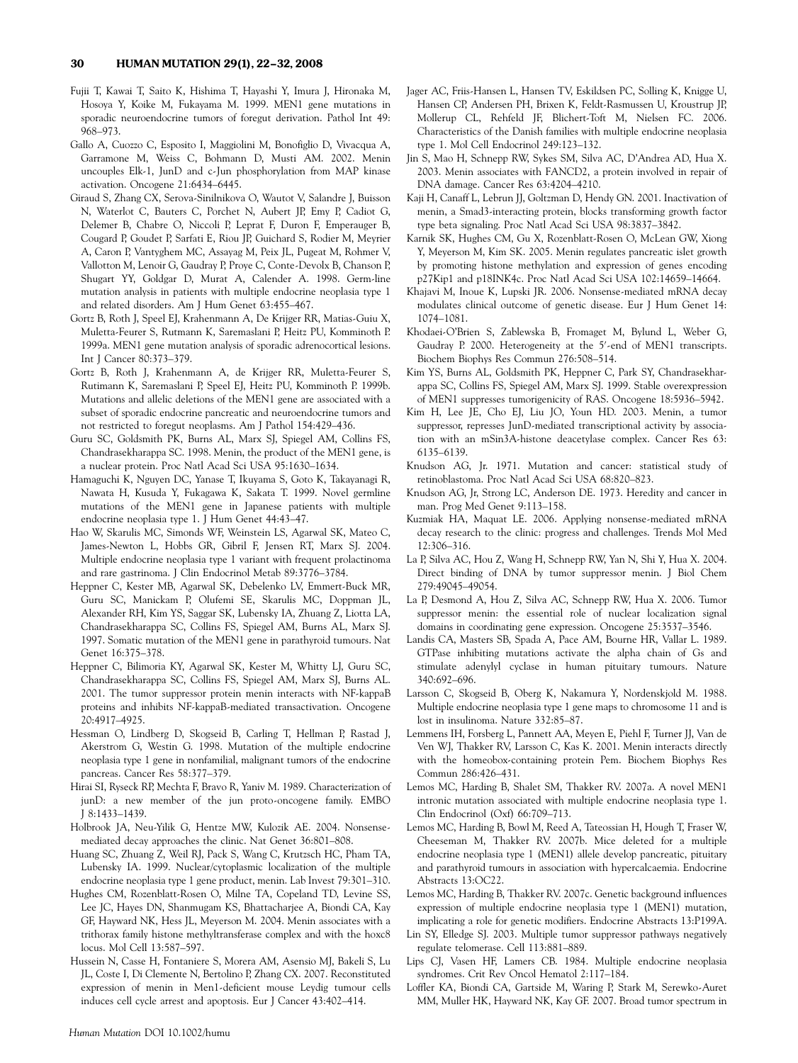- Fujii T, Kawai T, Saito K, Hishima T, Hayashi Y, Imura J, Hironaka M, Hosoya Y, Koike M, Fukayama M. 1999. MEN1 gene mutations in sporadic neuroendocrine tumors of foregut derivation. Pathol Int 49: 968–973.
- Gallo A, Cuozzo C, Esposito I, Maggiolini M, Bonofiglio D, Vivacqua A, Garramone M, Weiss C, Bohmann D, Musti AM. 2002. Menin uncouples Elk-1, JunD and c-Jun phosphorylation from MAP kinase activation. Oncogene 21:6434–6445.
- Giraud S, Zhang CX, Serova-Sinilnikova O, Wautot V, Salandre J, Buisson N, Waterlot C, Bauters C, Porchet N, Aubert JP, Emy P, Cadiot G, Delemer B, Chabre O, Niccoli P, Leprat F, Duron F, Emperauger B, Cougard P, Goudet P, Sarfati E, Riou JP, Guichard S, Rodier M, Meyrier A, Caron P, Vantyghem MC, Assayag M, Peix JL, Pugeat M, Rohmer V, Vallotton M, Lenoir G, Gaudray P, Proye C, Conte-Devolx B, Chanson P, Shugart YY, Goldgar D, Murat A, Calender A. 1998. Germ-line mutation analysis in patients with multiple endocrine neoplasia type 1 and related disorders. Am J Hum Genet 63:455–467.
- Gortz B, Roth J, Speel EJ, Krahenmann A, De Krijger RR, Matias-Guiu X, Muletta-Feurer S, Rutmann K, Saremaslani P, Heitz PU, Komminoth P. 1999a. MEN1 gene mutation analysis of sporadic adrenocortical lesions. Int J Cancer 80:373–379.
- Gortz B, Roth J, Krahenmann A, de Krijger RR, Muletta-Feurer S, Rutimann K, Saremaslani P, Speel EJ, Heitz PU, Komminoth P. 1999b. Mutations and allelic deletions of the MEN1 gene are associated with a subset of sporadic endocrine pancreatic and neuroendocrine tumors and not restricted to foregut neoplasms. Am J Pathol 154:429–436.
- Guru SC, Goldsmith PK, Burns AL, Marx SJ, Spiegel AM, Collins FS, Chandrasekharappa SC. 1998. Menin, the product of the MEN1 gene, is a nuclear protein. Proc Natl Acad Sci USA 95:1630–1634.
- Hamaguchi K, Nguyen DC, Yanase T, Ikuyama S, Goto K, Takayanagi R, Nawata H, Kusuda Y, Fukagawa K, Sakata T. 1999. Novel germline mutations of the MEN1 gene in Japanese patients with multiple endocrine neoplasia type 1. J Hum Genet 44:43–47.
- Hao W, Skarulis MC, Simonds WF, Weinstein LS, Agarwal SK, Mateo C, James-Newton L, Hobbs GR, Gibril F, Jensen RT, Marx SJ. 2004. Multiple endocrine neoplasia type 1 variant with frequent prolactinoma and rare gastrinoma. J Clin Endocrinol Metab 89:3776–3784.
- Heppner C, Kester MB, Agarwal SK, Debelenko LV, Emmert-Buck MR, Guru SC, Manickam P, Olufemi SE, Skarulis MC, Doppman JL, Alexander RH, Kim YS, Saggar SK, Lubensky IA, Zhuang Z, Liotta LA, Chandrasekharappa SC, Collins FS, Spiegel AM, Burns AL, Marx SJ. 1997. Somatic mutation of the MEN1 gene in parathyroid tumours. Nat Genet 16:375–378.
- Heppner C, Bilimoria KY, Agarwal SK, Kester M, Whitty LJ, Guru SC, Chandrasekharappa SC, Collins FS, Spiegel AM, Marx SJ, Burns AL. 2001. The tumor suppressor protein menin interacts with NF-kappaB proteins and inhibits NF-kappaB-mediated transactivation. Oncogene 20:4917–4925.
- Hessman O, Lindberg D, Skogseid B, Carling T, Hellman P, Rastad J, Akerstrom G, Westin G. 1998. Mutation of the multiple endocrine neoplasia type 1 gene in nonfamilial, malignant tumors of the endocrine pancreas. Cancer Res 58:377–379.
- Hirai SI, Ryseck RP, Mechta F, Bravo R, Yaniv M. 1989. Characterization of junD: a new member of the jun proto-oncogene family. EMBO J 8:1433–1439.
- Holbrook JA, Neu-Yilik G, Hentze MW, Kulozik AE. 2004. Nonsensemediated decay approaches the clinic. Nat Genet 36:801–808.
- Huang SC, Zhuang Z, Weil RJ, Pack S, Wang C, Krutzsch HC, Pham TA, Lubensky IA. 1999. Nuclear/cytoplasmic localization of the multiple endocrine neoplasia type 1 gene product, menin. Lab Invest 79:301–310.
- Hughes CM, Rozenblatt-Rosen O, Milne TA, Copeland TD, Levine SS, Lee JC, Hayes DN, Shanmugam KS, Bhattacharjee A, Biondi CA, Kay GF, Hayward NK, Hess JL, Meyerson M. 2004. Menin associates with a trithorax family histone methyltransferase complex and with the hoxc8 locus. Mol Cell 13:587–597.
- Hussein N, Casse H, Fontaniere S, Morera AM, Asensio MJ, Bakeli S, Lu JL, Coste I, Di Clemente N, Bertolino P, Zhang CX. 2007. Reconstituted expression of menin in Men1-deficient mouse Leydig tumour cells induces cell cycle arrest and apoptosis. Eur J Cancer 43:402–414.
- Jager AC, Friis-Hansen L, Hansen TV, Eskildsen PC, Solling K, Knigge U, Hansen CP, Andersen PH, Brixen K, Feldt-Rasmussen U, Kroustrup JP, Mollerup CL, Rehfeld JF, Blichert-Toft M, Nielsen FC. 2006. Characteristics of the Danish families with multiple endocrine neoplasia type 1. Mol Cell Endocrinol 249:123–132.
- Jin S, Mao H, Schnepp RW, Sykes SM, Silva AC, D'Andrea AD, Hua X. 2003. Menin associates with FANCD2, a protein involved in repair of DNA damage. Cancer Res 63:4204–4210.
- Kaji H, Canaff L, Lebrun JJ, Goltzman D, Hendy GN. 2001. Inactivation of menin, a Smad3-interacting protein, blocks transforming growth factor type beta signaling. Proc Natl Acad Sci USA 98:3837–3842.
- Karnik SK, Hughes CM, Gu X, Rozenblatt-Rosen O, McLean GW, Xiong Y, Meyerson M, Kim SK. 2005. Menin regulates pancreatic islet growth by promoting histone methylation and expression of genes encoding p27Kip1 and p18INK4c. Proc Natl Acad Sci USA 102:14659–14664.
- Khajavi M, Inoue K, Lupski JR. 2006. Nonsense-mediated mRNA decay modulates clinical outcome of genetic disease. Eur J Hum Genet 14: 1074–1081.
- Khodaei-O'Brien S, Zablewska B, Fromaget M, Bylund L, Weber G, Gaudray P. 2000. Heterogeneity at the 5'-end of MEN1 transcripts. Biochem Biophys Res Commun 276:508–514.
- Kim YS, Burns AL, Goldsmith PK, Heppner C, Park SY, Chandrasekharappa SC, Collins FS, Spiegel AM, Marx SJ. 1999. Stable overexpression of MEN1 suppresses tumorigenicity of RAS. Oncogene 18:5936–5942.
- Kim H, Lee JE, Cho EJ, Liu JO, Youn HD. 2003. Menin, a tumor suppressor, represses JunD-mediated transcriptional activity by association with an mSin3A-histone deacetylase complex. Cancer Res 63: 6135–6139.
- Knudson AG, Jr. 1971. Mutation and cancer: statistical study of retinoblastoma. Proc Natl Acad Sci USA 68:820–823.
- Knudson AG, Jr, Strong LC, Anderson DE. 1973. Heredity and cancer in man. Prog Med Genet 9:113–158.
- Kuzmiak HA, Maquat LE. 2006. Applying nonsense-mediated mRNA decay research to the clinic: progress and challenges. Trends Mol Med 12:306–316.
- La P, Silva AC, Hou Z, Wang H, Schnepp RW, Yan N, Shi Y, Hua X. 2004. Direct binding of DNA by tumor suppressor menin. J Biol Chem 279:49045–49054.
- La P, Desmond A, Hou Z, Silva AC, Schnepp RW, Hua X. 2006. Tumor suppressor menin: the essential role of nuclear localization signal domains in coordinating gene expression. Oncogene 25:3537–3546.
- Landis CA, Masters SB, Spada A, Pace AM, Bourne HR, Vallar L. 1989. GTPase inhibiting mutations activate the alpha chain of Gs and stimulate adenylyl cyclase in human pituitary tumours. Nature 340:692–696.
- Larsson C, Skogseid B, Oberg K, Nakamura Y, Nordenskjold M. 1988. Multiple endocrine neoplasia type 1 gene maps to chromosome 11 and is lost in insulinoma. Nature 332:85–87.
- Lemmens IH, Forsberg L, Pannett AA, Meyen E, Piehl F, Turner JJ, Van de Ven WJ, Thakker RV, Larsson C, Kas K. 2001. Menin interacts directly with the homeobox-containing protein Pem. Biochem Biophys Res Commun 286:426–431.
- Lemos MC, Harding B, Shalet SM, Thakker RV. 2007a. A novel MEN1 intronic mutation associated with multiple endocrine neoplasia type 1. Clin Endocrinol (Oxf) 66:709–713.
- Lemos MC, Harding B, Bowl M, Reed A, Tateossian H, Hough T, Fraser W, Cheeseman M, Thakker RV. 2007b. Mice deleted for a multiple endocrine neoplasia type 1 (MEN1) allele develop pancreatic, pituitary and parathyroid tumours in association with hypercalcaemia. Endocrine Abstracts 13:OC22.
- Lemos MC, Harding B, Thakker RV. 2007c. Genetic background influences expression of multiple endocrine neoplasia type 1 (MEN1) mutation, implicating a role for genetic modifiers. Endocrine Abstracts 13:P199A.
- Lin SY, Elledge SJ. 2003. Multiple tumor suppressor pathways negatively regulate telomerase. Cell 113:881–889.
- Lips CJ, Vasen HF, Lamers CB. 1984. Multiple endocrine neoplasia syndromes. Crit Rev Oncol Hematol 2:117–184.
- Loffler KA, Biondi CA, Gartside M, Waring P, Stark M, Serewko-Auret MM, Muller HK, Hayward NK, Kay GF. 2007. Broad tumor spectrum in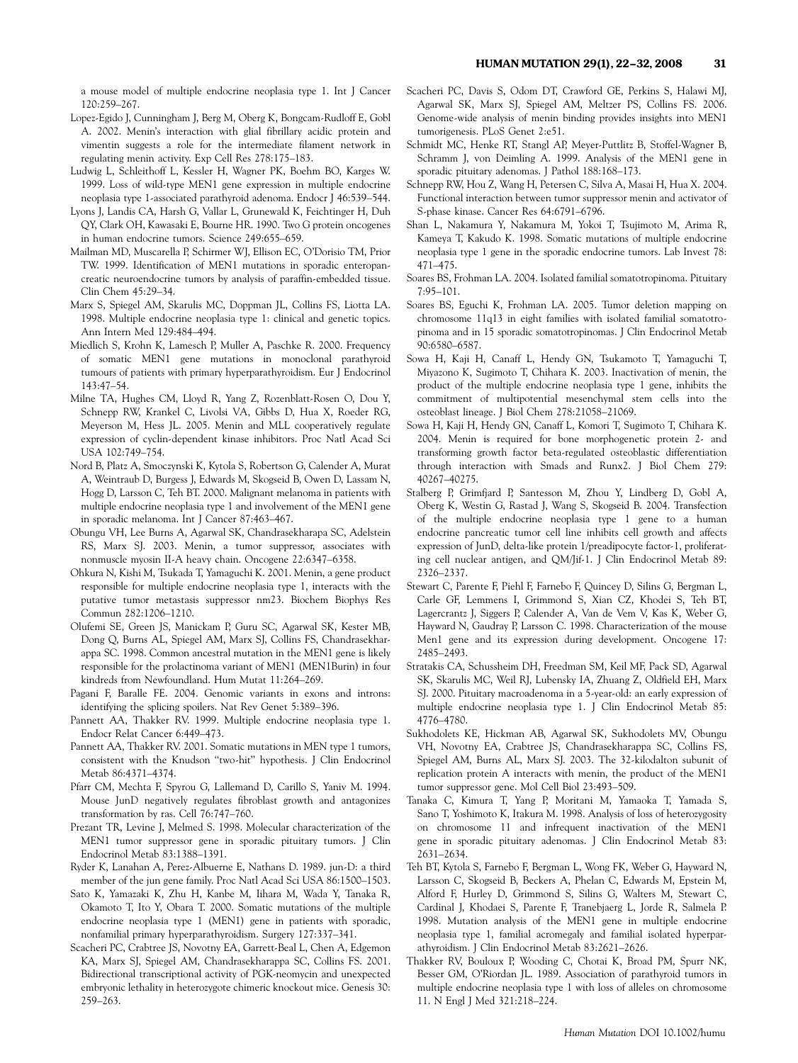a mouse model of multiple endocrine neoplasia type 1. Int J Cancer 120:259–267.

- Lopez-Egido J, Cunningham J, Berg M, Oberg K, Bongcam-Rudloff E, Gobl A. 2002. Menin's interaction with glial fibrillary acidic protein and vimentin suggests a role for the intermediate filament network in regulating menin activity. Exp Cell Res 278:175–183.
- Ludwig L, Schleithoff L, Kessler H, Wagner PK, Boehm BO, Karges W. 1999. Loss of wild-type MEN1 gene expression in multiple endocrine neoplasia type 1-associated parathyroid adenoma. Endocr J 46:539–544.
- Lyons J, Landis CA, Harsh G, Vallar L, Grunewald K, Feichtinger H, Duh QY, Clark OH, Kawasaki E, Bourne HR. 1990. Two G protein oncogenes in human endocrine tumors. Science 249:655–659.
- Mailman MD, Muscarella P, Schirmer WJ, Ellison EC, O'Dorisio TM, Prior TW. 1999. Identification of MEN1 mutations in sporadic enteropancreatic neuroendocrine tumors by analysis of paraffin-embedded tissue. Clin Chem 45:29–34.
- Marx S, Spiegel AM, Skarulis MC, Doppman JL, Collins FS, Liotta LA. 1998. Multiple endocrine neoplasia type 1: clinical and genetic topics. Ann Intern Med 129:484–494.
- Miedlich S, Krohn K, Lamesch P, Muller A, Paschke R. 2000. Frequency of somatic MEN1 gene mutations in monoclonal parathyroid tumours of patients with primary hyperparathyroidism. Eur J Endocrinol 143:47–54.
- Milne TA, Hughes CM, Lloyd R, Yang Z, Rozenblatt-Rosen O, Dou Y, Schnepp RW, Krankel C, Livolsi VA, Gibbs D, Hua X, Roeder RG, Meyerson M, Hess JL. 2005. Menin and MLL cooperatively regulate expression of cyclin-dependent kinase inhibitors. Proc Natl Acad Sci USA 102:749–754.
- Nord B, Platz A, Smoczynski K, Kytola S, Robertson G, Calender A, Murat A, Weintraub D, Burgess J, Edwards M, Skogseid B, Owen D, Lassam N, Hogg D, Larsson C, Teh BT. 2000. Malignant melanoma in patients with multiple endocrine neoplasia type 1 and involvement of the MEN1 gene in sporadic melanoma. Int J Cancer 87:463–467.
- Obungu VH, Lee Burns A, Agarwal SK, Chandrasekharapa SC, Adelstein RS, Marx SJ. 2003. Menin, a tumor suppressor, associates with nonmuscle myosin II-A heavy chain. Oncogene 22:6347–6358.
- Ohkura N, Kishi M, Tsukada T, Yamaguchi K. 2001. Menin, a gene product responsible for multiple endocrine neoplasia type 1, interacts with the putative tumor metastasis suppressor nm23. Biochem Biophys Res Commun 282:1206–1210.
- Olufemi SE, Green JS, Manickam P, Guru SC, Agarwal SK, Kester MB, Dong Q, Burns AL, Spiegel AM, Marx SJ, Collins FS, Chandrasekharappa SC. 1998. Common ancestral mutation in the MEN1 gene is likely responsible for the prolactinoma variant of MEN1 (MEN1Burin) in four kindreds from Newfoundland. Hum Mutat 11:264–269.
- Pagani F, Baralle FE. 2004. Genomic variants in exons and introns: identifying the splicing spoilers. Nat Rev Genet 5:389–396.
- Pannett AA, Thakker RV. 1999. Multiple endocrine neoplasia type 1. Endocr Relat Cancer 6:449–473.
- Pannett AA, Thakker RV. 2001. Somatic mutations in MEN type 1 tumors, consistent with the Knudson ''two-hit'' hypothesis. J Clin Endocrinol Metab 86:4371–4374.
- Pfarr CM, Mechta F, Spyrou G, Lallemand D, Carillo S, Yaniv M. 1994. Mouse JunD negatively regulates fibroblast growth and antagonizes transformation by ras. Cell 76:747–760.
- Prezant TR, Levine J, Melmed S. 1998. Molecular characterization of the MEN1 tumor suppressor gene in sporadic pituitary tumors. J Clin Endocrinol Metab 83:1388–1391.
- Ryder K, Lanahan A, Perez-Albuerne E, Nathans D. 1989. jun-D: a third member of the jun gene family. Proc Natl Acad Sci USA 86:1500–1503.
- Sato K, Yamazaki K, Zhu H, Kanbe M, Iihara M, Wada Y, Tanaka R, Okamoto T, Ito Y, Obara T. 2000. Somatic mutations of the multiple endocrine neoplasia type 1 (MEN1) gene in patients with sporadic, nonfamilial primary hyperparathyroidism. Surgery 127:337–341.
- Scacheri PC, Crabtree JS, Novotny EA, Garrett-Beal L, Chen A, Edgemon KA, Marx SJ, Spiegel AM, Chandrasekharappa SC, Collins FS. 2001. Bidirectional transcriptional activity of PGK-neomycin and unexpected embryonic lethality in heterozygote chimeric knockout mice. Genesis 30: 259–263.
- Scacheri PC, Davis S, Odom DT, Crawford GE, Perkins S, Halawi MJ, Agarwal SK, Marx SJ, Spiegel AM, Meltzer PS, Collins FS. 2006. Genome-wide analysis of menin binding provides insights into MEN1 tumorigenesis. PLoS Genet 2:e51.
- Schmidt MC, Henke RT, Stangl AP, Meyer-Puttlitz B, Stoffel-Wagner B, Schramm J, von Deimling A. 1999. Analysis of the MEN1 gene in sporadic pituitary adenomas. J Pathol 188:168–173.
- Schnepp RW, Hou Z, Wang H, Petersen C, Silva A, Masai H, Hua X. 2004. Functional interaction between tumor suppressor menin and activator of S-phase kinase. Cancer Res 64:6791–6796.
- Shan L, Nakamura Y, Nakamura M, Yokoi T, Tsujimoto M, Arima R, Kameya T, Kakudo K. 1998. Somatic mutations of multiple endocrine neoplasia type 1 gene in the sporadic endocrine tumors. Lab Invest 78: 471–475.
- Soares BS, Frohman LA. 2004. Isolated familial somatotropinoma. Pituitary 7:95–101.
- Soares BS, Eguchi K, Frohman LA. 2005. Tumor deletion mapping on chromosome 11q13 in eight families with isolated familial somatotropinoma and in 15 sporadic somatotropinomas. J Clin Endocrinol Metab 90:6580–6587.
- Sowa H, Kaji H, Canaff L, Hendy GN, Tsukamoto T, Yamaguchi T, Miyazono K, Sugimoto T, Chihara K. 2003. Inactivation of menin, the product of the multiple endocrine neoplasia type 1 gene, inhibits the commitment of multipotential mesenchymal stem cells into the osteoblast lineage. J Biol Chem 278:21058–21069.
- Sowa H, Kaji H, Hendy GN, Canaff L, Komori T, Sugimoto T, Chihara K. 2004. Menin is required for bone morphogenetic protein 2- and transforming growth factor beta-regulated osteoblastic differentiation through interaction with Smads and Runx2. J Biol Chem 279: 40267–40275.
- Stalberg P, Grimfjard P, Santesson M, Zhou Y, Lindberg D, Gobl A, Oberg K, Westin G, Rastad J, Wang S, Skogseid B. 2004. Transfection of the multiple endocrine neoplasia type 1 gene to a human endocrine pancreatic tumor cell line inhibits cell growth and affects expression of JunD, delta-like protein 1/preadipocyte factor-1, proliferating cell nuclear antigen, and QM/Jif-1. J Clin Endocrinol Metab 89: 2326–2337.
- Stewart C, Parente F, Piehl F, Farnebo F, Quincey D, Silins G, Bergman L, Carle GF, Lemmens I, Grimmond S, Xian CZ, Khodei S, Teh BT, Lagercrantz J, Siggers P, Calender A, Van de Vem V, Kas K, Weber G, Hayward N, Gaudray P, Larsson C. 1998. Characterization of the mouse Men1 gene and its expression during development. Oncogene 17: 2485–2493.
- Stratakis CA, Schussheim DH, Freedman SM, Keil MF, Pack SD, Agarwal SK, Skarulis MC, Weil RJ, Lubensky IA, Zhuang Z, Oldfield EH, Marx SJ. 2000. Pituitary macroadenoma in a 5-year-old: an early expression of multiple endocrine neoplasia type 1. J Clin Endocrinol Metab 85: 4776–4780.
- Sukhodolets KE, Hickman AB, Agarwal SK, Sukhodolets MV, Obungu VH, Novotny EA, Crabtree JS, Chandrasekharappa SC, Collins FS, Spiegel AM, Burns AL, Marx SJ. 2003. The 32-kilodalton subunit of replication protein A interacts with menin, the product of the MEN1 tumor suppressor gene. Mol Cell Biol 23:493–509.
- Tanaka C, Kimura T, Yang P, Moritani M, Yamaoka T, Yamada S, Sano T, Yoshimoto K, Itakura M. 1998. Analysis of loss of heterozygosity on chromosome 11 and infrequent inactivation of the MEN1 gene in sporadic pituitary adenomas. J Clin Endocrinol Metab 83: 2631–2634.
- Teh BT, Kytola S, Farnebo F, Bergman L, Wong FK, Weber G, Hayward N, Larsson C, Skogseid B, Beckers A, Phelan C, Edwards M, Epstein M, Alford F, Hurley D, Grimmond S, Silins G, Walters M, Stewart C, Cardinal J, Khodaei S, Parente F, Tranebjaerg L, Jorde R, Salmela P. 1998. Mutation analysis of the MEN1 gene in multiple endocrine neoplasia type 1, familial acromegaly and familial isolated hyperparathyroidism. J Clin Endocrinol Metab 83:2621–2626.
- Thakker RV, Bouloux P, Wooding C, Chotai K, Broad PM, Spurr NK, Besser GM, O'Riordan JL. 1989. Association of parathyroid tumors in multiple endocrine neoplasia type 1 with loss of alleles on chromosome 11. N Engl J Med 321:218–224.